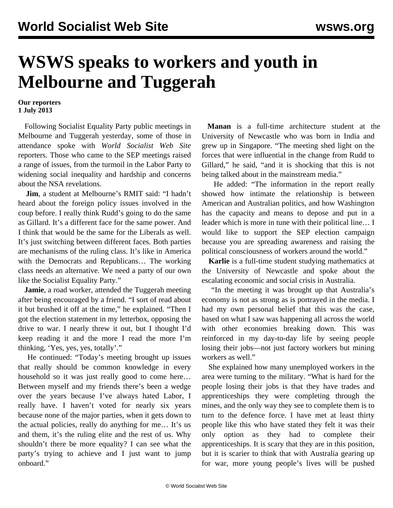## **WSWS speaks to workers and youth in Melbourne and Tuggerah**

## **Our reporters 1 July 2013**

 Following Socialist Equality Party public meetings in Melbourne and Tuggerah [yesterday](/en/articles/2013/07/01/meet-j01.html), some of those in attendance spoke with *World Socialist Web Site* reporters. Those who came to the SEP meetings raised a range of issues, from the turmoil in the Labor Party to widening social inequality and hardship and concerns about the NSA revelations.

 **Jim**, a student at Melbourne's RMIT said: "I hadn't heard about the foreign policy issues involved in the coup before. I really think Rudd's going to do the same as Gillard. It's a different face for the same power. And I think that would be the same for the Liberals as well. It's just switching between different faces. Both parties are mechanisms of the ruling class. It's like in America with the Democrats and Republicans… The working class needs an alternative. We need a party of our own like the Socialist Equality Party."

**Jamie**, a road worker, attended the Tuggerah meeting after being encouraged by a friend. "I sort of read about it but brushed it off at the time," he explained. "Then I got the election statement in my letterbox, opposing the drive to war. I nearly threw it out, but I thought I'd keep reading it and the more I read the more I'm thinking, 'Yes, yes, yes, totally'."

 He continued: "Today's meeting brought up issues that really should be common knowledge in every household so it was just really good to come here… Between myself and my friends there's been a wedge over the years because I've always hated Labor, I really have. I haven't voted for nearly six years because none of the major parties, when it gets down to the actual policies, really do anything for me… It's us and them, it's the ruling elite and the rest of us. Why shouldn't there be more equality? I can see what the party's trying to achieve and I just want to jump onboard."

 **Manan** is a full-time architecture student at the University of Newcastle who was born in India and grew up in Singapore. "The meeting shed light on the forces that were influential in the change from Rudd to Gillard," he said, "and it is shocking that this is not being talked about in the mainstream media."

 He added: "The information in the report really showed how intimate the relationship is between American and Australian politics, and how Washington has the capacity and means to depose and put in a leader which is more in tune with their political line… I would like to support the SEP election campaign because you are spreading awareness and raising the political consciousness of workers around the world."

 **Karlie** is a full-time student studying mathematics at the University of Newcastle and spoke about the escalating economic and social crisis in Australia.

 "In the meeting it was brought up that Australia's economy is not as strong as is portrayed in the media. I had my own personal belief that this was the case, based on what I saw was happening all across the world with other economies breaking down. This was reinforced in my day-to-day life by seeing people losing their jobs—not just factory workers but mining workers as well."

 She explained how many unemployed workers in the area were turning to the military. "What is hard for the people losing their jobs is that they have trades and apprenticeships they were completing through the mines, and the only way they see to complete them is to turn to the defence force. I have met at least thirty people like this who have stated they felt it was their only option as they had to complete their apprenticeships. It is scary that they are in this position, but it is scarier to think that with Australia gearing up for war, more young people's lives will be pushed